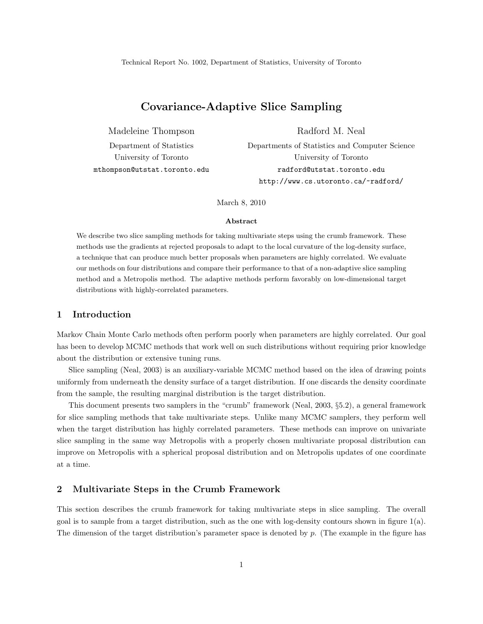# Covariance-Adaptive Slice Sampling

Madeleine Thompson Radford M. Neal

Department of Statistics Departments of Statistics and Computer Science University of Toronto University of Toronto mthompson@utstat.toronto.edu radford@utstat.toronto.edu http://www.cs.utoronto.ca/~radford/

March 8, 2010

#### Abstract

We describe two slice sampling methods for taking multivariate steps using the crumb framework. These methods use the gradients at rejected proposals to adapt to the local curvature of the log-density surface, a technique that can produce much better proposals when parameters are highly correlated. We evaluate our methods on four distributions and compare their performance to that of a non-adaptive slice sampling method and a Metropolis method. The adaptive methods perform favorably on low-dimensional target distributions with highly-correlated parameters.

## 1 Introduction

Markov Chain Monte Carlo methods often perform poorly when parameters are highly correlated. Our goal has been to develop MCMC methods that work well on such distributions without requiring prior knowledge about the distribution or extensive tuning runs.

Slice sampling (Neal, 2003) is an auxiliary-variable MCMC method based on the idea of drawing points uniformly from underneath the density surface of a target distribution. If one discards the density coordinate from the sample, the resulting marginal distribution is the target distribution.

This document presents two samplers in the "crumb" framework (Neal, 2003, §5.2), a general framework for slice sampling methods that take multivariate steps. Unlike many MCMC samplers, they perform well when the target distribution has highly correlated parameters. These methods can improve on univariate slice sampling in the same way Metropolis with a properly chosen multivariate proposal distribution can improve on Metropolis with a spherical proposal distribution and on Metropolis updates of one coordinate at a time.

# 2 Multivariate Steps in the Crumb Framework

This section describes the crumb framework for taking multivariate steps in slice sampling. The overall goal is to sample from a target distribution, such as the one with log-density contours shown in figure  $1(a)$ . The dimension of the target distribution's parameter space is denoted by  $p$ . (The example in the figure has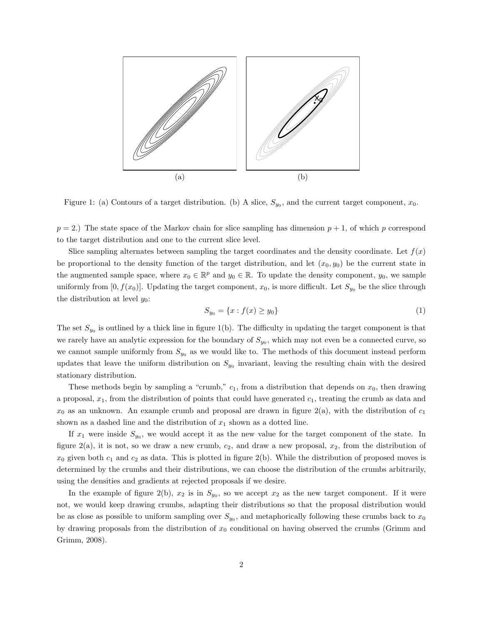

Figure 1: (a) Contours of a target distribution. (b) A slice,  $S_{y_0}$ , and the current target component,  $x_0$ .

 $p = 2$ .) The state space of the Markov chain for slice sampling has dimension  $p + 1$ , of which p correspond to the target distribution and one to the current slice level.

Slice sampling alternates between sampling the target coordinates and the density coordinate. Let  $f(x)$ be proportional to the density function of the target distribution, and let  $(x_0, y_0)$  be the current state in the augmented sample space, where  $x_0 \in \mathbb{R}^p$  and  $y_0 \in \mathbb{R}$ . To update the density component,  $y_0$ , we sample uniformly from  $[0, f(x_0)]$ . Updating the target component,  $x_0$ , is more difficult. Let  $S_{y_0}$  be the slice through the distribution at level  $y_0$ :

$$
S_{y_0} = \{x : f(x) \ge y_0\}
$$
 (1)

The set  $S_{y_0}$  is outlined by a thick line in figure 1(b). The difficulty in updating the target component is that we rarely have an analytic expression for the boundary of  $S_{y_0}$ , which may not even be a connected curve, so we cannot sample uniformly from  $S_{y_0}$  as we would like to. The methods of this document instead perform updates that leave the uniform distribution on  $S_{y_0}$  invariant, leaving the resulting chain with the desired stationary distribution.

These methods begin by sampling a "crumb,"  $c_1$ , from a distribution that depends on  $x_0$ , then drawing a proposal,  $x_1$ , from the distribution of points that could have generated  $c_1$ , treating the crumb as data and  $x_0$  as an unknown. An example crumb and proposal are drawn in figure  $2(a)$ , with the distribution of  $c_1$ shown as a dashed line and the distribution of  $x_1$  shown as a dotted line.

If  $x_1$  were inside  $S_{y_0}$ , we would accept it as the new value for the target component of the state. In figure 2(a), it is not, so we draw a new crumb,  $c_2$ , and draw a new proposal,  $x_2$ , from the distribution of  $x_0$  given both  $c_1$  and  $c_2$  as data. This is plotted in figure 2(b). While the distribution of proposed moves is determined by the crumbs and their distributions, we can choose the distribution of the crumbs arbitrarily, using the densities and gradients at rejected proposals if we desire.

In the example of figure 2(b),  $x_2$  is in  $S_{y_0}$ , so we accept  $x_2$  as the new target component. If it were not, we would keep drawing crumbs, adapting their distributions so that the proposal distribution would be as close as possible to uniform sampling over  $S_{y_0}$ , and metaphorically following these crumbs back to  $x_0$ by drawing proposals from the distribution of  $x_0$  conditional on having observed the crumbs (Grimm and Grimm, 2008).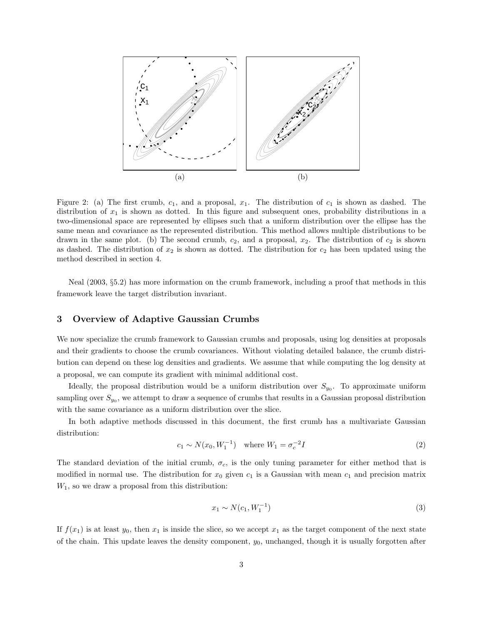

Figure 2: (a) The first crumb,  $c_1$ , and a proposal,  $x_1$ . The distribution of  $c_1$  is shown as dashed. The distribution of  $x_1$  is shown as dotted. In this figure and subsequent ones, probability distributions in a two-dimensional space are represented by ellipses such that a uniform distribution over the ellipse has the same mean and covariance as the represented distribution. This method allows multiple distributions to be drawn in the same plot. (b) The second crumb,  $c_2$ , and a proposal,  $x_2$ . The distribution of  $c_2$  is shown as dashed. The distribution of  $x_2$  is shown as dotted. The distribution for  $c_2$  has been updated using the method described in section 4.

Neal (2003, §5.2) has more information on the crumb framework, including a proof that methods in this framework leave the target distribution invariant.

## 3 Overview of Adaptive Gaussian Crumbs

We now specialize the crumb framework to Gaussian crumbs and proposals, using log densities at proposals and their gradients to choose the crumb covariances. Without violating detailed balance, the crumb distribution can depend on these log densities and gradients. We assume that while computing the log density at a proposal, we can compute its gradient with minimal additional cost.

Ideally, the proposal distribution would be a uniform distribution over  $S_{y0}$ . To approximate uniform sampling over  $S_{y_0}$ , we attempt to draw a sequence of crumbs that results in a Gaussian proposal distribution with the same covariance as a uniform distribution over the slice.

In both adaptive methods discussed in this document, the first crumb has a multivariate Gaussian distribution:

$$
c_1 \sim N(x_0, W_1^{-1}) \quad \text{where } W_1 = \sigma_c^{-2} I \tag{2}
$$

The standard deviation of the initial crumb,  $\sigma_c$ , is the only tuning parameter for either method that is modified in normal use. The distribution for  $x_0$  given  $c_1$  is a Gaussian with mean  $c_1$  and precision matrix  $W_1$ , so we draw a proposal from this distribution:

$$
x_1 \sim N(c_1, W_1^{-1})
$$
\n(3)

If  $f(x_1)$  is at least  $y_0$ , then  $x_1$  is inside the slice, so we accept  $x_1$  as the target component of the next state of the chain. This update leaves the density component,  $y_0$ , unchanged, though it is usually forgotten after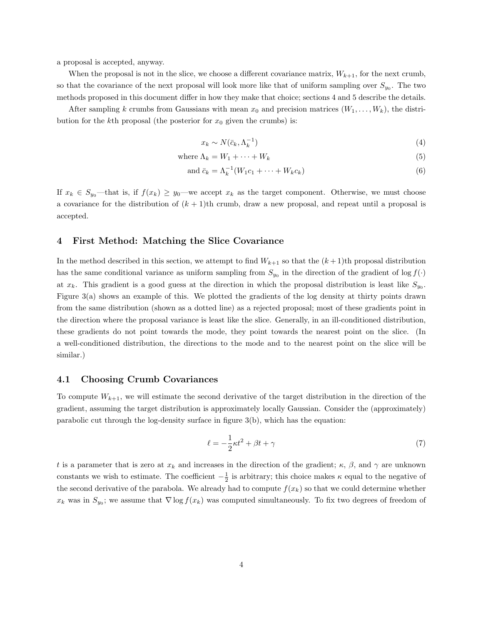a proposal is accepted, anyway.

When the proposal is not in the slice, we choose a different covariance matrix,  $W_{k+1}$ , for the next crumb, so that the covariance of the next proposal will look more like that of uniform sampling over  $S_{y_0}$ . The two methods proposed in this document differ in how they make that choice; sections 4 and 5 describe the details.

After sampling k crumbs from Gaussians with mean  $x_0$  and precision matrices  $(W_1, \ldots, W_k)$ , the distribution for the kth proposal (the posterior for  $x_0$  given the crumbs) is:

$$
x_k \sim N(\bar{c}_k, \Lambda_k^{-1})
$$
\n<sup>(4)</sup>

where 
$$
\Lambda_k = W_1 + \dots + W_k \tag{5}
$$

$$
\text{and } \bar{c}_k = \Lambda_k^{-1}(W_1 c_1 + \dots + W_k c_k) \tag{6}
$$

If  $x_k \in S_{y_0}$ —that is, if  $f(x_k) \ge y_0$ —we accept  $x_k$  as the target component. Otherwise, we must choose a covariance for the distribution of  $(k + 1)$ th crumb, draw a new proposal, and repeat until a proposal is accepted.

#### 4 First Method: Matching the Slice Covariance

In the method described in this section, we attempt to find  $W_{k+1}$  so that the  $(k+1)$ th proposal distribution has the same conditional variance as uniform sampling from  $S_{y_0}$  in the direction of the gradient of log  $f(\cdot)$ at  $x_k$ . This gradient is a good guess at the direction in which the proposal distribution is least like  $S_{y_0}$ . Figure 3(a) shows an example of this. We plotted the gradients of the log density at thirty points drawn from the same distribution (shown as a dotted line) as a rejected proposal; most of these gradients point in the direction where the proposal variance is least like the slice. Generally, in an ill-conditioned distribution, these gradients do not point towards the mode, they point towards the nearest point on the slice. (In a well-conditioned distribution, the directions to the mode and to the nearest point on the slice will be similar.)

#### 4.1 Choosing Crumb Covariances

To compute  $W_{k+1}$ , we will estimate the second derivative of the target distribution in the direction of the gradient, assuming the target distribution is approximately locally Gaussian. Consider the (approximately) parabolic cut through the log-density surface in figure 3(b), which has the equation:

$$
\ell = -\frac{1}{2}\kappa t^2 + \beta t + \gamma \tag{7}
$$

t is a parameter that is zero at  $x_k$  and increases in the direction of the gradient;  $\kappa$ ,  $\beta$ , and  $\gamma$  are unknown constants we wish to estimate. The coefficient  $-\frac{1}{2}$  is arbitrary; this choice makes  $\kappa$  equal to the negative of the second derivative of the parabola. We already had to compute  $f(x_k)$  so that we could determine whether  $x_k$  was in  $S_{y_0}$ ; we assume that  $\nabla \log f(x_k)$  was computed simultaneously. To fix two degrees of freedom of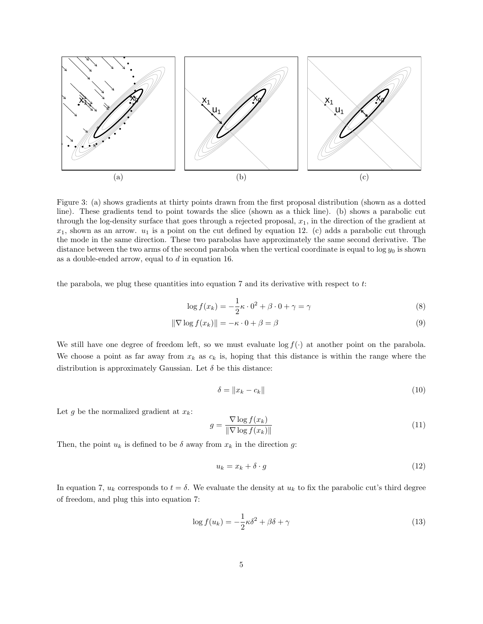

Figure 3: (a) shows gradients at thirty points drawn from the first proposal distribution (shown as a dotted line). These gradients tend to point towards the slice (shown as a thick line). (b) shows a parabolic cut through the log-density surface that goes through a rejected proposal,  $x_1$ , in the direction of the gradient at  $x_1$ , shown as an arrow.  $u_1$  is a point on the cut defined by equation 12. (c) adds a parabolic cut through the mode in the same direction. These two parabolas have approximately the same second derivative. The distance between the two arms of the second parabola when the vertical coordinate is equal to  $\log y_0$  is shown as a double-ended arrow, equal to  $d$  in equation 16.

the parabola, we plug these quantities into equation 7 and its derivative with respect to  $t$ :

$$
\log f(x_k) = -\frac{1}{2}\kappa \cdot 0^2 + \beta \cdot 0 + \gamma = \gamma \tag{8}
$$

$$
\|\nabla \log f(x_k)\| = -\kappa \cdot 0 + \beta = \beta \tag{9}
$$

We still have one degree of freedom left, so we must evaluate log  $f(\cdot)$  at another point on the parabola. We choose a point as far away from  $x_k$  as  $c_k$  is, hoping that this distance is within the range where the distribution is approximately Gaussian. Let  $\delta$  be this distance:

$$
\delta = \|x_k - c_k\| \tag{10}
$$

Let g be the normalized gradient at  $x_k$ :

$$
g = \frac{\nabla \log f(x_k)}{\|\nabla \log f(x_k)\|} \tag{11}
$$

Then, the point  $u_k$  is defined to be  $\delta$  away from  $x_k$  in the direction g:

$$
u_k = x_k + \delta \cdot g \tag{12}
$$

In equation 7,  $u_k$  corresponds to  $t = \delta$ . We evaluate the density at  $u_k$  to fix the parabolic cut's third degree of freedom, and plug this into equation 7:

$$
\log f(u_k) = -\frac{1}{2}\kappa \delta^2 + \beta \delta + \gamma \tag{13}
$$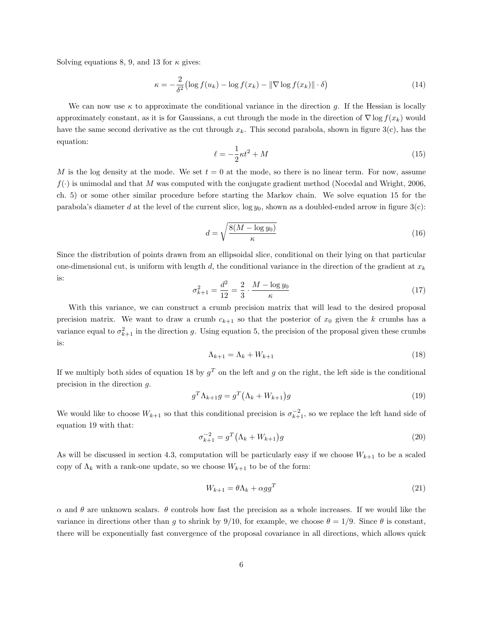Solving equations 8, 9, and 13 for  $\kappa$  gives:

$$
\kappa = -\frac{2}{\delta^2} \left( \log f(u_k) - \log f(x_k) - ||\nabla \log f(x_k)|| \cdot \delta \right) \tag{14}
$$

We can now use  $\kappa$  to approximate the conditional variance in the direction g. If the Hessian is locally approximately constant, as it is for Gaussians, a cut through the mode in the direction of  $\nabla \log f(x_k)$  would have the same second derivative as the cut through  $x_k$ . This second parabola, shown in figure 3(c), has the equation:

$$
\ell = -\frac{1}{2}\kappa t^2 + M\tag{15}
$$

M is the log density at the mode. We set  $t = 0$  at the mode, so there is no linear term. For now, assume  $f(\cdot)$  is unimodal and that M was computed with the conjugate gradient method (Nocedal and Wright, 2006, ch. 5) or some other similar procedure before starting the Markov chain. We solve equation 15 for the parabola's diameter d at the level of the current slice,  $\log y_0$ , shown as a doubled-ended arrow in figure 3(c):

$$
d = \sqrt{\frac{8(M - \log y_0)}{\kappa}}\tag{16}
$$

Since the distribution of points drawn from an ellipsoidal slice, conditional on their lying on that particular one-dimensional cut, is uniform with length d, the conditional variance in the direction of the gradient at  $x_k$ is:

$$
\sigma_{k+1}^2 = \frac{d^2}{12} = \frac{2}{3} \cdot \frac{M - \log y_0}{\kappa} \tag{17}
$$

With this variance, we can construct a crumb precision matrix that will lead to the desired proposal precision matrix. We want to draw a crumb  $c_{k+1}$  so that the posterior of  $x_0$  given the k crumbs has a variance equal to  $\sigma_{k+1}^2$  in the direction g. Using equation 5, the precision of the proposal given these crumbs is:

$$
\Lambda_{k+1} = \Lambda_k + W_{k+1} \tag{18}
$$

If we multiply both sides of equation 18 by  $g^T$  on the left and g on the right, the left side is the conditional precision in the direction g.

$$
g^T \Lambda_{k+1} g = g^T \left(\Lambda_k + W_{k+1}\right) g \tag{19}
$$

We would like to choose  $W_{k+1}$  so that this conditional precision is  $\sigma_{k+1}^{-2}$ , so we replace the left hand side of equation 19 with that:

$$
\sigma_{k+1}^{-2} = g^T \left(\Lambda_k + W_{k+1}\right) g \tag{20}
$$

As will be discussed in section 4.3, computation will be particularly easy if we choose  $W_{k+1}$  to be a scaled copy of  $\Lambda_k$  with a rank-one update, so we choose  $W_{k+1}$  to be of the form:

$$
W_{k+1} = \theta \Lambda_k + \alpha g g^T \tag{21}
$$

 $\alpha$  and  $\theta$  are unknown scalars.  $\theta$  controls how fast the precision as a whole increases. If we would like the variance in directions other than q to shrink by 9/10, for example, we choose  $\theta = 1/9$ . Since  $\theta$  is constant, there will be exponentially fast convergence of the proposal covariance in all directions, which allows quick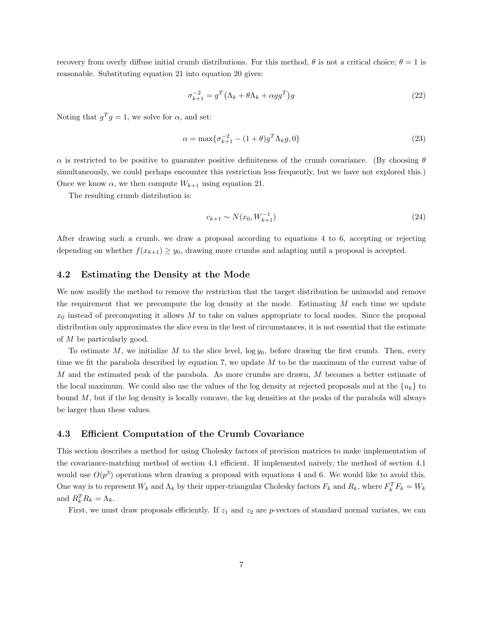recovery from overly diffuse initial crumb distributions. For this method,  $\theta$  is not a critical choice;  $\theta = 1$  is reasonable. Substituting equation 21 into equation 20 gives:

$$
\sigma_{k+1}^{-2} = g^T \left(\Lambda_k + \theta \Lambda_k + \alpha g g^T\right) g \tag{22}
$$

Noting that  $g^T g = 1$ , we solve for  $\alpha$ , and set:

$$
\alpha = \max \{ \sigma_{k+1}^{-2} - (1+\theta)g^T \Lambda_k g, 0 \}
$$
\n(23)

 $\alpha$  is restricted to be positive to guarantee positive definiteness of the crumb covariance. (By choosing  $\theta$ simultaneously, we could perhaps encounter this restriction less frequently, but we have not explored this.) Once we know  $\alpha$ , we then compute  $W_{k+1}$  using equation 21.

The resulting crumb distribution is:

$$
c_{k+1} \sim N(x_0, W_{k+1}^{-1})
$$
\n(24)

After drawing such a crumb, we draw a proposal according to equations 4 to 6, accepting or rejecting depending on whether  $f(x_{k+1}) \geq y_0$ , drawing more crumbs and adapting until a proposal is accepted.

## 4.2 Estimating the Density at the Mode

We now modify the method to remove the restriction that the target distribution be unimodal and remove the requirement that we precompute the log density at the mode. Estimating  $M$  each time we update  $x_0$  instead of precomputing it allows M to take on values appropriate to local modes. Since the proposal distribution only approximates the slice even in the best of circumstances, it is not essential that the estimate of M be particularly good.

To estimate M, we initialize M to the slice level,  $\log y_0$ , before drawing the first crumb. Then, every time we fit the parabola described by equation 7, we update  $M$  to be the maximum of the current value of M and the estimated peak of the parabola. As more crumbs are drawn, M becomes a better estimate of the local maximum. We could also use the values of the log density at rejected proposals and at the  $\{u_k\}$  to bound M, but if the log density is locally concave, the log densities at the peaks of the parabola will always be larger than these values.

## 4.3 Efficient Computation of the Crumb Covariance

This section describes a method for using Cholesky factors of precision matrices to make implementation of the covariance-matching method of section 4.1 efficient. If implemented naively, the method of section 4.1 would use  $O(p^3)$  operations when drawing a proposal with equations 4 and 6. We would like to avoid this. One way is to represent  $W_k$  and  $\Lambda_k$  by their upper-triangular Cholesky factors  $F_k$  and  $R_k$ , where  $F_k^T F_k = W_k$ and  $R_k^T R_k = \Lambda_k$ .

First, we must draw proposals efficiently. If  $z_1$  and  $z_2$  are p-vectors of standard normal variates, we can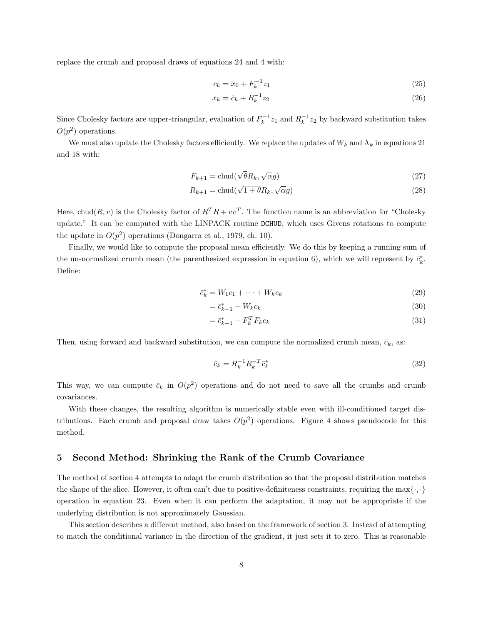replace the crumb and proposal draws of equations 24 and 4 with:

$$
c_k = x_0 + F_k^{-1} z_1 \tag{25}
$$

$$
x_k = \bar{c}_k + R_k^{-1} z_2 \tag{26}
$$

Since Cholesky factors are upper-triangular, evaluation of  $F_k^{-1}z_1$  and  $R_k^{-1}z_2$  by backward substitution takes  $O(p^2)$  operations.

We must also update the Cholesky factors efficiently. We replace the updates of  $W_k$  and  $\Lambda_k$  in equations 21 and 18 with:

$$
F_{k+1} = \text{chud}(\sqrt{\theta}R_k, \sqrt{\alpha}g) \tag{27}
$$

$$
R_{k+1} = \text{chud}(\sqrt{1+\theta}R_k, \sqrt{\alpha}g) \tag{28}
$$

Here, chud $(R, v)$  is the Cholesky factor of  $R^T R + vv^T$ . The function name is an abbreviation for "Cholesky" update." It can be computed with the LINPACK routine DCHUD, which uses Givens rotations to compute the update in  $O(p^2)$  operations (Dongarra et al., 1979, ch. 10).

Finally, we would like to compute the proposal mean efficiently. We do this by keeping a running sum of the un-normalized crumb mean (the parenthesized expression in equation 6), which we will represent by  $\bar{c}_k^*$ . Define:

$$
\bar{c}_k^* = W_1 c_1 + \dots + W_k c_k \tag{29}
$$

$$
=\bar{c}_{k-1}^* + W_k c_k \tag{30}
$$

$$
=\bar{c}_{k-1}^* + F_k^T F_k c_k \tag{31}
$$

Then, using forward and backward substitution, we can compute the normalized crumb mean,  $\bar{c}_k$ , as:

$$
\bar{c}_k = R_k^{-1} R_k^{-T} \bar{c}_k^*
$$
\n
$$
\tag{32}
$$

This way, we can compute  $\bar{c}_k$  in  $O(p^2)$  operations and do not need to save all the crumbs and crumb covariances.

With these changes, the resulting algorithm is numerically stable even with ill-conditioned target distributions. Each crumb and proposal draw takes  $O(p^2)$  operations. Figure 4 shows pseudocode for this method.

## 5 Second Method: Shrinking the Rank of the Crumb Covariance

The method of section 4 attempts to adapt the crumb distribution so that the proposal distribution matches the shape of the slice. However, it often can't due to positive-definiteness constraints, requiring the max $\{\cdot,\cdot\}$ operation in equation 23. Even when it can perform the adaptation, it may not be appropriate if the underlying distribution is not approximately Gaussian.

This section describes a different method, also based on the framework of section 3. Instead of attempting to match the conditional variance in the direction of the gradient, it just sets it to zero. This is reasonable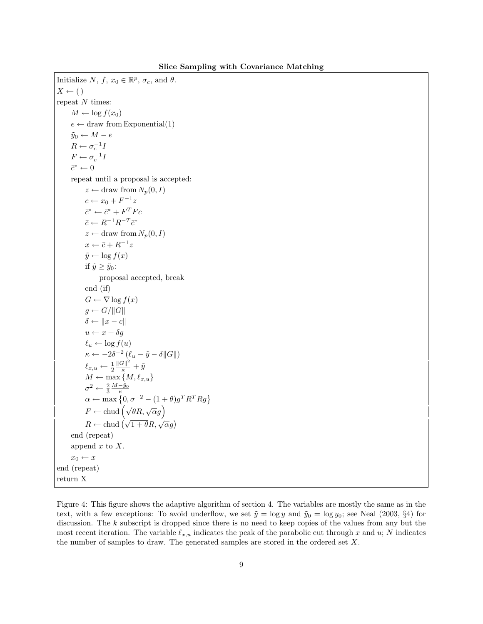Initialize  $N, f, x_0 \in \mathbb{R}^p, \sigma_c$ , and  $\theta$ .  $X \leftarrow ($ ) repeat  $N$  times:  $M \leftarrow \log f(x_0)$  $e \leftarrow$  draw from Exponential(1)  $\tilde{y}_0 \leftarrow M - e$  $R \leftarrow \sigma_c^{-1}I$  $F \leftarrow \sigma_c^{-1}I$  $\bar{c}^* \leftarrow 0$ repeat until a proposal is accepted:  $z \leftarrow$  draw from  $N_p(0, I)$  $c \leftarrow x_0 + F^{-1}z$  $\bar{c}^* \leftarrow \bar{c}^* + F^T F c$  $\bar{c} \leftarrow R^{-1}R^{-T}\bar{c}^*$  $z \leftarrow$  draw from  $N_p(0, I)$  $x \leftarrow \bar{c} + R^{-1}z$  $\tilde{y} \leftarrow \log f(x)$ if  $\tilde{y} \geq \tilde{y}_0$ : proposal accepted, break end (if)  $G \leftarrow \nabla \log f(x)$  $g \leftarrow G / ||G||$  $\delta \leftarrow ||x - c||$  $u \leftarrow x + \delta g$  $\ell_u \leftarrow \log f(u)$  $\kappa \leftarrow -2\delta^{-2}(\ell_u - \tilde{y} - \delta ||G||)$  $\ell_{x,u} \leftarrow \frac{1}{2}$  $\frac{\|G\|^2}{\kappa}+\tilde{y}$  $M \leftarrow \max\left\{M, \ell_{x,u}\right\}$  $\sigma^2 \leftarrow \frac{2}{3} \frac{M - \tilde{y}_0}{\kappa}$ <br>  $\alpha \leftarrow \max\left\{0, \sigma^{-2} - (1 + \theta)g^T R^T R g\right\}$  $F \leftarrow \text{chud} \left( \sqrt{\theta} R, \sqrt{\alpha} g \right)$  $R \leftarrow \text{chud} \left( \sqrt{1 + \theta} R, \sqrt{\alpha} g \right)$ end (repeat) append  $x$  to  $X$ .  $x_0 \leftarrow x$ end (repeat) return X

Figure 4: This figure shows the adaptive algorithm of section 4. The variables are mostly the same as in the text, with a few exceptions: To avoid underflow, we set  $\tilde{y} = \log y$  and  $\tilde{y}_0 = \log y_0$ ; see Neal (2003, §4) for discussion. The  $k$  subscript is dropped since there is no need to keep copies of the values from any but the most recent iteration. The variable  $\ell_{x,u}$  indicates the peak of the parabolic cut through x and u; N indicates the number of samples to draw. The generated samples are stored in the ordered set X.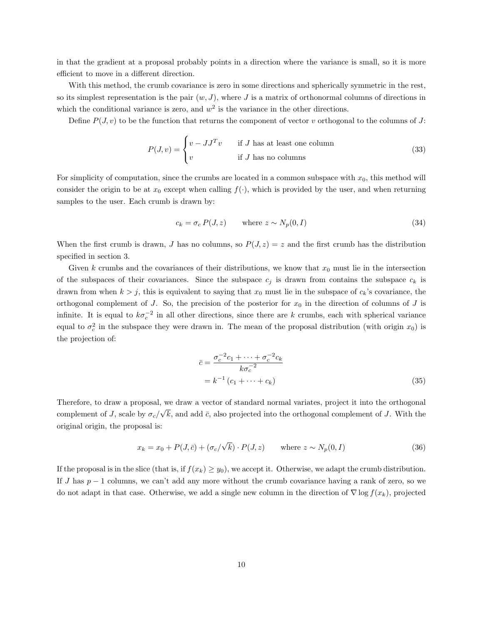in that the gradient at a proposal probably points in a direction where the variance is small, so it is more efficient to move in a different direction.

With this method, the crumb covariance is zero in some directions and spherically symmetric in the rest, so its simplest representation is the pair  $(w, J)$ , where J is a matrix of orthonormal columns of directions in which the conditional variance is zero, and  $w^2$  is the variance in the other directions.

Define  $P(J, v)$  to be the function that returns the component of vector v orthogonal to the columns of J:

$$
P(J, v) = \begin{cases} v - JJ^T v & \text{if } J \text{ has at least one column} \\ v & \text{if } J \text{ has no columns} \end{cases}
$$
 (33)

For simplicity of computation, since the crumbs are located in a common subspace with  $x_0$ , this method will consider the origin to be at  $x_0$  except when calling  $f(.)$ , which is provided by the user, and when returning samples to the user. Each crumb is drawn by:

$$
c_k = \sigma_c P(J, z) \qquad \text{where } z \sim N_p(0, I) \tag{34}
$$

When the first crumb is drawn, J has no columns, so  $P(J, z) = z$  and the first crumb has the distribution specified in section 3.

Given k crumbs and the covariances of their distributions, we know that  $x_0$  must lie in the intersection of the subspaces of their covariances. Since the subspace  $c_j$  is drawn from contains the subspace  $c_k$  is drawn from when  $k > j$ , this is equivalent to saying that  $x_0$  must lie in the subspace of  $c_k$ 's covariance, the orthogonal complement of J. So, the precision of the posterior for  $x_0$  in the direction of columns of J is infinite. It is equal to  $k\sigma_c^{-2}$  in all other directions, since there are k crumbs, each with spherical variance equal to  $\sigma_c^2$  in the subspace they were drawn in. The mean of the proposal distribution (with origin  $x_0$ ) is the projection of:

$$
\overline{c} = \frac{\sigma_c^{-2}c_1 + \dots + \sigma_c^{-2}c_k}{k\sigma_c^{-2}}
$$

$$
= k^{-1}(c_1 + \dots + c_k)
$$
(35)

Therefore, to draw a proposal, we draw a vector of standard normal variates, project it into the orthogonal complement of J, scale by  $\sigma_c/$ √  $k$ , and add  $\bar{c}$ , also projected into the orthogonal complement of J. With the original origin, the proposal is:

$$
x_k = x_0 + P(J, \bar{c}) + (\sigma_c/\sqrt{k}) \cdot P(J, z) \quad \text{where } z \sim N_p(0, I)
$$
 (36)

If the proposal is in the slice (that is, if  $f(x_k) \geq y_0$ ), we accept it. Otherwise, we adapt the crumb distribution. If J has  $p-1$  columns, we can't add any more without the crumb covariance having a rank of zero, so we do not adapt in that case. Otherwise, we add a single new column in the direction of  $\nabla \log f(x_k)$ , projected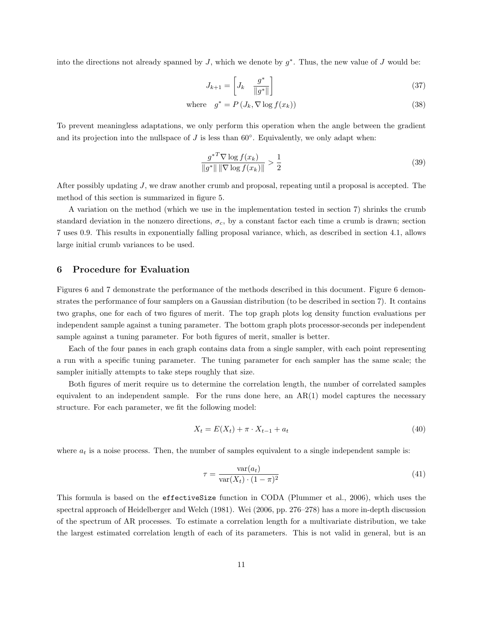into the directions not already spanned by  $J$ , which we denote by  $g^*$ . Thus, the new value of  $J$  would be:

$$
J_{k+1} = \begin{bmatrix} J_k & \frac{g^*}{\|g^*\|} \end{bmatrix} \tag{37}
$$

where 
$$
g^* = P(J_k, \nabla \log f(x_k))
$$
 (38)

To prevent meaningless adaptations, we only perform this operation when the angle between the gradient and its projection into the nullspace of  $J$  is less than  $60^\circ$ . Equivalently, we only adapt when:

$$
\frac{g^{*T} \nabla \log f(x_k)}{\|g^*\| \|\nabla \log f(x_k)\|} > \frac{1}{2}
$$
\n(39)

After possibly updating J, we draw another crumb and proposal, repeating until a proposal is accepted. The method of this section is summarized in figure 5.

A variation on the method (which we use in the implementation tested in section 7) shrinks the crumb standard deviation in the nonzero directions,  $\sigma_c$ , by a constant factor each time a crumb is drawn; section 7 uses 0.9. This results in exponentially falling proposal variance, which, as described in section 4.1, allows large initial crumb variances to be used.

## 6 Procedure for Evaluation

Figures 6 and 7 demonstrate the performance of the methods described in this document. Figure 6 demonstrates the performance of four samplers on a Gaussian distribution (to be described in section 7). It contains two graphs, one for each of two figures of merit. The top graph plots log density function evaluations per independent sample against a tuning parameter. The bottom graph plots processor-seconds per independent sample against a tuning parameter. For both figures of merit, smaller is better.

Each of the four panes in each graph contains data from a single sampler, with each point representing a run with a specific tuning parameter. The tuning parameter for each sampler has the same scale; the sampler initially attempts to take steps roughly that size.

Both figures of merit require us to determine the correlation length, the number of correlated samples equivalent to an independent sample. For the runs done here, an  $AR(1)$  model captures the necessary structure. For each parameter, we fit the following model:

$$
X_t = E(X_t) + \pi \cdot X_{t-1} + a_t \tag{40}
$$

where  $a_t$  is a noise process. Then, the number of samples equivalent to a single independent sample is:

$$
\tau = \frac{\text{var}(a_t)}{\text{var}(X_t) \cdot (1 - \pi)^2} \tag{41}
$$

This formula is based on the effectiveSize function in CODA (Plummer et al., 2006), which uses the spectral approach of Heidelberger and Welch (1981). Wei (2006, pp. 276–278) has a more in-depth discussion of the spectrum of AR processes. To estimate a correlation length for a multivariate distribution, we take the largest estimated correlation length of each of its parameters. This is not valid in general, but is an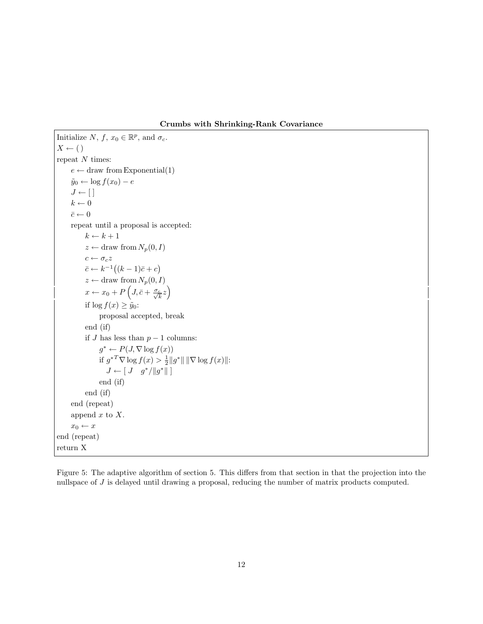Crumbs with Shrinking-Rank Covariance

```
Initialize N, f, x_0 \in \mathbb{R}^p, and \sigma_c.
X \leftarrow ()
repeat N times:
      e \leftarrow draw from Exponential(1)
      \tilde{y}_0 \leftarrow \log f(x_0) - eJ \leftarrow [k \leftarrow 0\bar{c} \leftarrow 0repeat until a proposal is accepted:
            k \leftarrow k + 1z \leftarrow draw from N_p(0, I)c \leftarrow \sigma_c z\bar{c} \leftarrow k^{-1}((k-1)\bar{c}+c)z \leftarrow draw from N_p(0, I)x \leftarrow x_0 + P\left(J, \bar{c} + \frac{\sigma_c}{\sqrt{k}}z\right)if \log f(x) \geq \tilde{y}_0:
                  proposal accepted, break
            end (if)
            if J has less than p-1 columns:
                   g^* \leftarrow P(J, \nabla \log f(x))if g^{*T} \nabla \log f(x) > \frac{1}{2} ||g^*|| ||\nabla \log f(x)||:
                      J \leftarrow [J \quad g^* / ||g^*||]end (if)
            end (if)
      end (repeat)
      append x to X.
      x_0 \leftarrow xend (repeat)
return X
```
Figure 5: The adaptive algorithm of section 5. This differs from that section in that the projection into the nullspace of J is delayed until drawing a proposal, reducing the number of matrix products computed.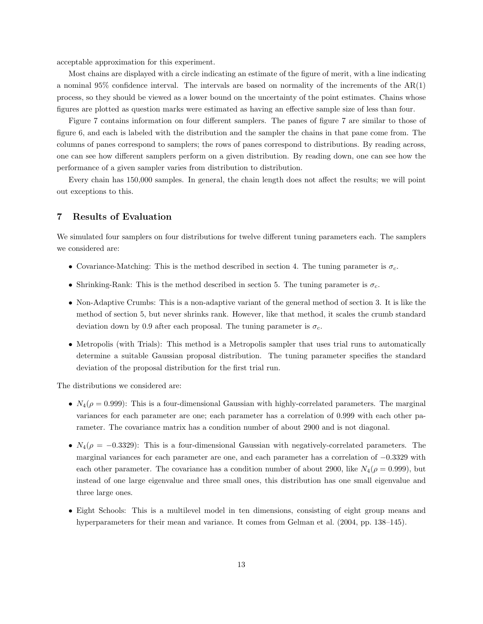acceptable approximation for this experiment.

Most chains are displayed with a circle indicating an estimate of the figure of merit, with a line indicating a nominal 95% confidence interval. The intervals are based on normality of the increments of the AR(1) process, so they should be viewed as a lower bound on the uncertainty of the point estimates. Chains whose figures are plotted as question marks were estimated as having an effective sample size of less than four.

Figure 7 contains information on four different samplers. The panes of figure 7 are similar to those of figure 6, and each is labeled with the distribution and the sampler the chains in that pane come from. The columns of panes correspond to samplers; the rows of panes correspond to distributions. By reading across, one can see how different samplers perform on a given distribution. By reading down, one can see how the performance of a given sampler varies from distribution to distribution.

Every chain has 150,000 samples. In general, the chain length does not affect the results; we will point out exceptions to this.

## 7 Results of Evaluation

We simulated four samplers on four distributions for twelve different tuning parameters each. The samplers we considered are:

- Covariance-Matching: This is the method described in section 4. The tuning parameter is  $\sigma_c$ .
- Shrinking-Rank: This is the method described in section 5. The tuning parameter is  $\sigma_c$ .
- Non-Adaptive Crumbs: This is a non-adaptive variant of the general method of section 3. It is like the method of section 5, but never shrinks rank. However, like that method, it scales the crumb standard deviation down by 0.9 after each proposal. The tuning parameter is  $\sigma_c$ .
- Metropolis (with Trials): This method is a Metropolis sampler that uses trial runs to automatically determine a suitable Gaussian proposal distribution. The tuning parameter specifies the standard deviation of the proposal distribution for the first trial run.

The distributions we considered are:

- $N_4(\rho = 0.999)$ : This is a four-dimensional Gaussian with highly-correlated parameters. The marginal variances for each parameter are one; each parameter has a correlation of 0.999 with each other parameter. The covariance matrix has a condition number of about 2900 and is not diagonal.
- $N_4(\rho = -0.3329)$ : This is a four-dimensional Gaussian with negatively-correlated parameters. The marginal variances for each parameter are one, and each parameter has a correlation of −0.3329 with each other parameter. The covariance has a condition number of about 2900, like  $N_4(\rho = 0.999)$ , but instead of one large eigenvalue and three small ones, this distribution has one small eigenvalue and three large ones.
- Eight Schools: This is a multilevel model in ten dimensions, consisting of eight group means and hyperparameters for their mean and variance. It comes from Gelman et al. (2004, pp. 138–145).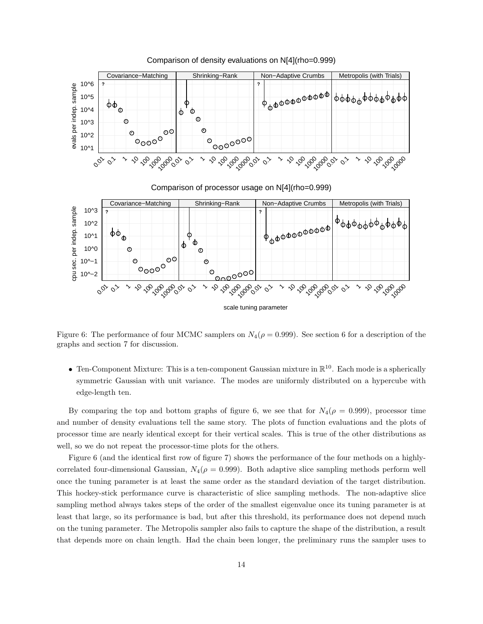

Comparison of density evaluations on N[4](rho=0.999)

Figure 6: The performance of four MCMC samplers on  $N_4(\rho = 0.999)$ . See section 6 for a description of the graphs and section 7 for discussion.

• Ten-Component Mixture: This is a ten-component Gaussian mixture in  $\mathbb{R}^{10}$ . Each mode is a spherically symmetric Gaussian with unit variance. The modes are uniformly distributed on a hypercube with edge-length ten.

By comparing the top and bottom graphs of figure 6, we see that for  $N_4(\rho = 0.999)$ , processor time and number of density evaluations tell the same story. The plots of function evaluations and the plots of processor time are nearly identical except for their vertical scales. This is true of the other distributions as well, so we do not repeat the processor-time plots for the others.

Figure 6 (and the identical first row of figure 7) shows the performance of the four methods on a highlycorrelated four-dimensional Gaussian,  $N_4(\rho = 0.999)$ . Both adaptive slice sampling methods perform well once the tuning parameter is at least the same order as the standard deviation of the target distribution. This hockey-stick performance curve is characteristic of slice sampling methods. The non-adaptive slice sampling method always takes steps of the order of the smallest eigenvalue once its tuning parameter is at least that large, so its performance is bad, but after this threshold, its performance does not depend much on the tuning parameter. The Metropolis sampler also fails to capture the shape of the distribution, a result that depends more on chain length. Had the chain been longer, the preliminary runs the sampler uses to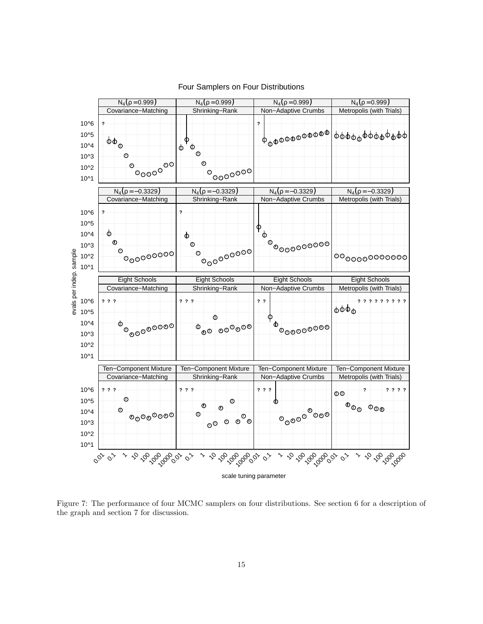

## Four Samplers on Four Distributions

Figure 7: The performance of four MCMC samplers on four distributions. See section 6 for a description of the graph and section 7 for discussion.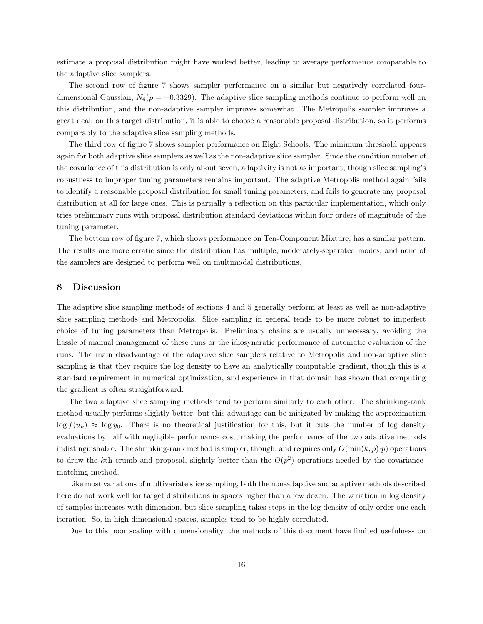estimate a proposal distribution might have worked better, leading to average performance comparable to the adaptive slice samplers.

The second row of figure 7 shows sampler performance on a similar but negatively correlated fourdimensional Gaussian,  $N_4(\rho = -0.3329)$ . The adaptive slice sampling methods continue to perform well on this distribution, and the non-adaptive sampler improves somewhat. The Metropolis sampler improves a great deal; on this target distribution, it is able to choose a reasonable proposal distribution, so it performs comparably to the adaptive slice sampling methods.

The third row of figure 7 shows sampler performance on Eight Schools. The minimum threshold appears again for both adaptive slice samplers as well as the non-adaptive slice sampler. Since the condition number of the covariance of this distribution is only about seven, adaptivity is not as important, though slice sampling's robustness to improper tuning parameters remains important. The adaptive Metropolis method again fails to identify a reasonable proposal distribution for small tuning parameters, and fails to generate any proposal distribution at all for large ones. This is partially a reflection on this particular implementation, which only tries preliminary runs with proposal distribution standard deviations within four orders of magnitude of the tuning parameter.

The bottom row of figure 7, which shows performance on Ten-Component Mixture, has a similar pattern. The results are more erratic since the distribution has multiple, moderately-separated modes, and none of the samplers are designed to perform well on multimodal distributions.

## 8 Discussion

The adaptive slice sampling methods of sections 4 and 5 generally perform at least as well as non-adaptive slice sampling methods and Metropolis. Slice sampling in general tends to be more robust to imperfect choice of tuning parameters than Metropolis. Preliminary chains are usually unnecessary, avoiding the hassle of manual management of these runs or the idiosyncratic performance of automatic evaluation of the runs. The main disadvantage of the adaptive slice samplers relative to Metropolis and non-adaptive slice sampling is that they require the log density to have an analytically computable gradient, though this is a standard requirement in numerical optimization, and experience in that domain has shown that computing the gradient is often straightforward.

The two adaptive slice sampling methods tend to perform similarly to each other. The shrinking-rank method usually performs slightly better, but this advantage can be mitigated by making the approximation  $\log f(u_k) \approx \log y_0$ . There is no theoretical justification for this, but it cuts the number of log density evaluations by half with negligible performance cost, making the performance of the two adaptive methods indistinguishable. The shrinking-rank method is simpler, though, and requires only  $O(\min(k, p) \cdot p)$  operations to draw the kth crumb and proposal, slightly better than the  $O(p^2)$  operations needed by the covariancematching method.

Like most variations of multivariate slice sampling, both the non-adaptive and adaptive methods described here do not work well for target distributions in spaces higher than a few dozen. The variation in log density of samples increases with dimension, but slice sampling takes steps in the log density of only order one each iteration. So, in high-dimensional spaces, samples tend to be highly correlated.

Due to this poor scaling with dimensionality, the methods of this document have limited usefulness on